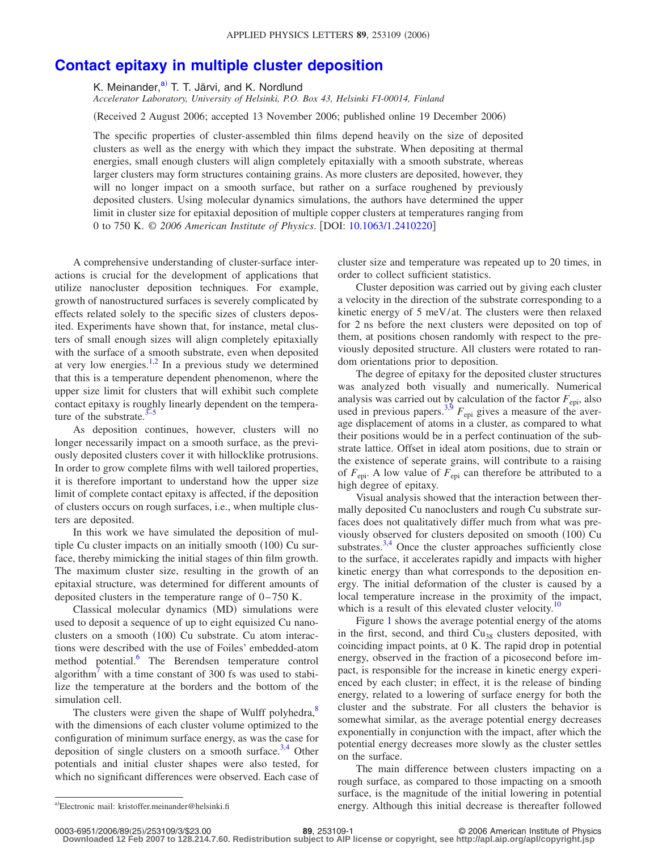## **[Contact epitaxy in multiple cluster deposition](http://dx.doi.org/10.1063/1.2410220)**

K. Meinander,<sup>a)</sup> T. T. Järvi, and K. Nordlund

*Accelerator Laboratory, University of Helsinki, P.O. Box 43, Helsinki FI-00014, Finland*

Received 2 August 2006; accepted 13 November 2006; published online 19 December 2006-

The specific properties of cluster-assembled thin films depend heavily on the size of deposited clusters as well as the energy with which they impact the substrate. When depositing at thermal energies, small enough clusters will align completely epitaxially with a smooth substrate, whereas larger clusters may form structures containing grains. As more clusters are deposited, however, they will no longer impact on a smooth surface, but rather on a surface roughened by previously deposited clusters. Using molecular dynamics simulations, the authors have determined the upper limit in cluster size for epitaxial deposition of multiple copper clusters at temperatures ranging from 0 to 750 K. © *2006 American Institute of Physics*. DOI: [10.1063/1.2410220](http://dx.doi.org/10.1063/1.2410220)

A comprehensive understanding of cluster-surface interactions is crucial for the development of applications that utilize nanocluster deposition techniques. For example, growth of nanostructured surfaces is severely complicated by effects related solely to the specific sizes of clusters deposited. Experiments have shown that, for instance, metal clusters of small enough sizes will align completely epitaxially with the surface of a smooth substrate, even when deposited at very low energies. $1,2$  $1,2$  In a previous study we determined that this is a temperature dependent phenomenon, where the upper size limit for clusters that will exhibit such complete contact epitaxy is roughly linearly dependent on the temperature of the substrate. $3-5$ 

As deposition continues, however, clusters will no longer necessarily impact on a smooth surface, as the previously deposited clusters cover it with hillocklike protrusions. In order to grow complete films with well tailored properties, it is therefore important to understand how the upper size limit of complete contact epitaxy is affected, if the deposition of clusters occurs on rough surfaces, i.e., when multiple clusters are deposited.

In this work we have simulated the deposition of multiple Cu cluster impacts on an initially smooth (100) Cu surface, thereby mimicking the initial stages of thin film growth. The maximum cluster size, resulting in the growth of an epitaxial structure, was determined for different amounts of deposited clusters in the temperature range of  $0-750$  K.

Classical molecular dynamics (MD) simulations were used to deposit a sequence of up to eight equisized Cu nanoclusters on a smooth (100) Cu substrate. Cu atom interactions were described with the use of Foiles' embedded-atom method potential.<sup>6</sup> The Berendsen temperature control algorithm<sup>7</sup> with a time constant of 300 fs was used to stabilize the temperature at the borders and the bottom of the simulation cell.

The clusters were given the shape of Wulff polyhedra,<sup>8</sup> with the dimensions of each cluster volume optimized to the configuration of minimum surface energy, as was the case for deposition of single clusters on a smooth surface.<sup>3[,4](#page-2-7)</sup> Other potentials and initial cluster shapes were also tested, for which no significant differences were observed. Each case of cluster size and temperature was repeated up to 20 times, in order to collect sufficient statistics.

Cluster deposition was carried out by giving each cluster a velocity in the direction of the substrate corresponding to a kinetic energy of 5 meV/at. The clusters were then relaxed for 2 ns before the next clusters were deposited on top of them, at positions chosen randomly with respect to the previously deposited structure. All clusters were rotated to random orientations prior to deposition.

The degree of epitaxy for the deposited cluster structures was analyzed both visually and numerically. Numerical analysis was carried out by calculation of the factor  $F_{\text{eni}}$ , also used in previous papers.<sup>3,[9](#page-2-8)</sup>  $F_{\text{epi}}$  gives a measure of the average displacement of atoms in a cluster, as compared to what their positions would be in a perfect continuation of the substrate lattice. Offset in ideal atom positions, due to strain or the existence of seperate grains, will contribute to a raising of  $F_{\text{epi}}$ . A low value of  $F_{\text{epi}}$  can therefore be attributed to a high degree of epitaxy.

Visual analysis showed that the interaction between thermally deposited Cu nanoclusters and rough Cu substrate surfaces does not qualitatively differ much from what was previously observed for clusters deposited on smooth (100) Cu substrates.<sup>3,[4](#page-2-7)</sup> Once the cluster approaches sufficiently close to the surface, it accelerates rapidly and impacts with higher kinetic energy than what corresponds to the deposition energy. The initial deformation of the cluster is caused by a local temperature increase in the proximity of the impact, which is a result of this elevated cluster velocity.<sup>1</sup>

Figure [1](#page-1-0) shows the average potential energy of the atoms in the first, second, and third  $Cu<sub>38</sub>$  clusters deposited, with coinciding impact points, at 0 K. The rapid drop in potential energy, observed in the fraction of a picosecond before impact, is responsible for the increase in kinetic energy experienced by each cluster; in effect, it is the release of binding energy, related to a lowering of surface energy for both the cluster and the substrate. For all clusters the behavior is somewhat similar, as the average potential energy decreases exponentially in conjunction with the impact, after which the potential energy decreases more slowly as the cluster settles on the surface.

The main difference between clusters impacting on a rough surface, as compared to those impacting on a smooth surface, is the magnitude of the initial lowering in potential energy. Although this initial decrease is thereafter followed

0003-6951/2006/89(25)/253109/3/\$23.00

<span id="page-0-0"></span>Electronic mail: kristoffer.meinander@helsinki.fi

**<sup>89</sup>**, 253109-1 © 2006 American Institute of Physics

**Downloaded 12 Feb 2007 to 128.214.7.60. Redistribution subject to AIP license or copyright, see http://apl.aip.org/apl/copyright.jsp**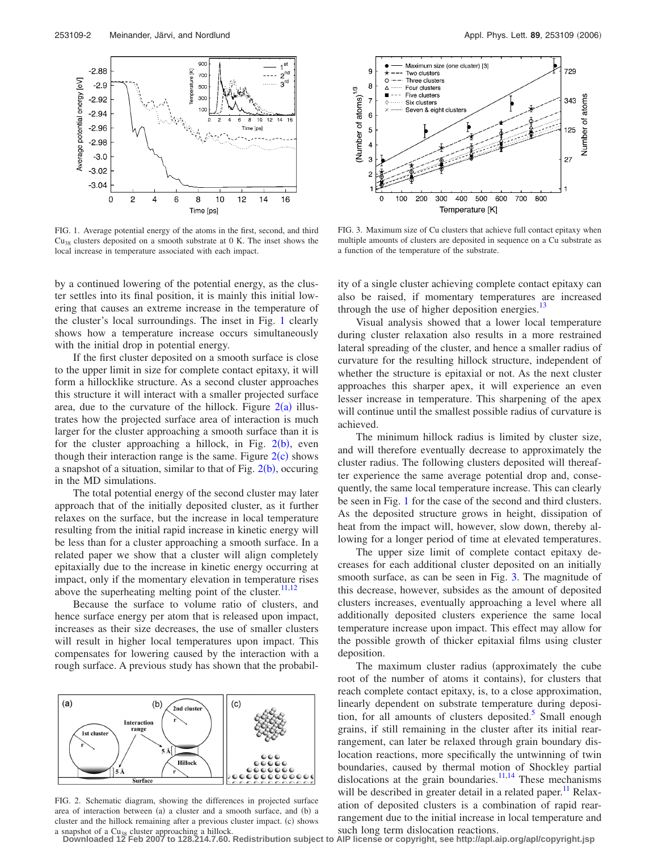<span id="page-1-0"></span>

FIG. 1. Average potential energy of the atoms in the first, second, and third  $Cu<sub>38</sub>$  clusters deposited on a smooth substrate at 0 K. The inset shows the local increase in temperature associated with each impact.

by a continued lowering of the potential energy, as the cluster settles into its final position, it is mainly this initial lowering that causes an extreme increase in the temperature of the cluster's local surroundings. The inset in Fig. [1](#page-1-0) clearly shows how a temperature increase occurs simultaneously with the initial drop in potential energy.

If the first cluster deposited on a smooth surface is close to the upper limit in size for complete contact epitaxy, it will form a hillocklike structure. As a second cluster approaches this structure it will interact with a smaller projected surface area, due to the curvature of the hillock. Figure  $2(a)$  $2(a)$  illustrates how the projected surface area of interaction is much larger for the cluster approaching a smooth surface than it is for the cluster approaching a hillock, in Fig.  $2(b)$  $2(b)$ , even though their interaction range is the same. Figure  $2(c)$  $2(c)$  shows a snapshot of a situation, similar to that of Fig.  $2(b)$  $2(b)$ , occuring in the MD simulations.

The total potential energy of the second cluster may later approach that of the initially deposited cluster, as it further relaxes on the surface, but the increase in local temperature resulting from the initial rapid increase in kinetic energy will be less than for a cluster approaching a smooth surface. In a related paper we show that a cluster will align completely epitaxially due to the increase in kinetic energy occurring at impact, only if the momentary elevation in temperature rises above the superheating melting point of the cluster. $11,12$  $11,12$ 

Because the surface to volume ratio of clusters, and hence surface energy per atom that is released upon impact, increases as their size decreases, the use of smaller clusters will result in higher local temperatures upon impact. This compensates for lowering caused by the interaction with a rough surface. A previous study has shown that the probabil-

<span id="page-1-1"></span>

FIG. 2. Schematic diagram, showing the differences in projected surface area of interaction between (a) a cluster and a smooth surface, and (b) a cluster and the hillock remaining after a previous cluster impact. (c) shows

<span id="page-1-2"></span>

FIG. 3. Maximum size of Cu clusters that achieve full contact epitaxy when multiple amounts of clusters are deposited in sequence on a Cu substrate as a function of the temperature of the substrate.

ity of a single cluster achieving complete contact epitaxy can also be raised, if momentary temperatures are increased through the use of higher deposition energies. $^{13}$ 

Visual analysis showed that a lower local temperature during cluster relaxation also results in a more restrained lateral spreading of the cluster, and hence a smaller radius of curvature for the resulting hillock structure, independent of whether the structure is epitaxial or not. As the next cluster approaches this sharper apex, it will experience an even lesser increase in temperature. This sharpening of the apex will continue until the smallest possible radius of curvature is achieved.

The minimum hillock radius is limited by cluster size, and will therefore eventually decrease to approximately the cluster radius. The following clusters deposited will thereafter experience the same average potential drop and, consequently, the same local temperature increase. This can clearly be seen in Fig. [1](#page-1-0) for the case of the second and third clusters. As the deposited structure grows in height, dissipation of heat from the impact will, however, slow down, thereby allowing for a longer period of time at elevated temperatures.

The upper size limit of complete contact epitaxy decreases for each additional cluster deposited on an initially smooth surface, as can be seen in Fig. [3.](#page-1-2) The magnitude of this decrease, however, subsides as the amount of deposited clusters increases, eventually approaching a level where all additionally deposited clusters experience the same local temperature increase upon impact. This effect may allow for the possible growth of thicker epitaxial films using cluster deposition.

The maximum cluster radius (approximately the cube root of the number of atoms it contains), for clusters that reach complete contact epitaxy, is, to a close approximation, linearly dependent on substrate temperature during deposition, for all amounts of clusters deposited.<sup>3</sup> Small enough grains, if still remaining in the cluster after its initial rearrangement, can later be relaxed through grain boundary dislocation reactions, more specifically the untwinning of twin boundaries, caused by thermal motion of Shockley partial dislocations at the grain boundaries.<sup>11,[14](#page-2-13)</sup> These mechanisms will be described in greater detail in a related paper.<sup>11</sup> Relaxation of deposited clusters is a combination of rapid rearrangement due to the initial increase in local temperature and

a snapshot of a Cu<sub>38</sub> cluster approaching a hillock.<br>Downloaded 12 Feb 2007 to 128.214.7.60. Redistribution subject to AIP license or copyright, see http://apl.aip.org/apl/copyright.jsp